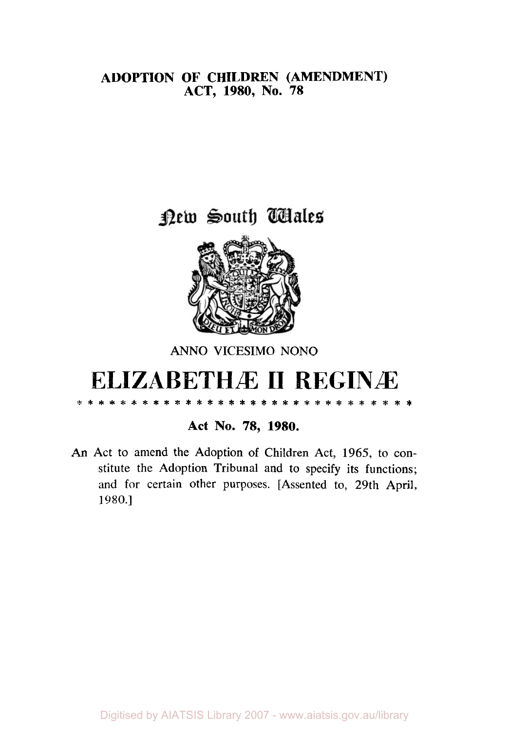### **ADOPTION OF CHILDREN (AMENDMENT) ACT, 1980, No. 78**

# new South Wales



## ANNO **VICESIMO** NONO

# **ELIZABETHÆ 11 REGINÆ ...............................** \* \* \* \*

#### **Act No. 78, 1980.**

An Act to amend the Adoption of Children Act, 1965, to constitute the Adoption Tribunal and to specify its functions; and for certain other purposes. [Assented to, 29th April, 1980.]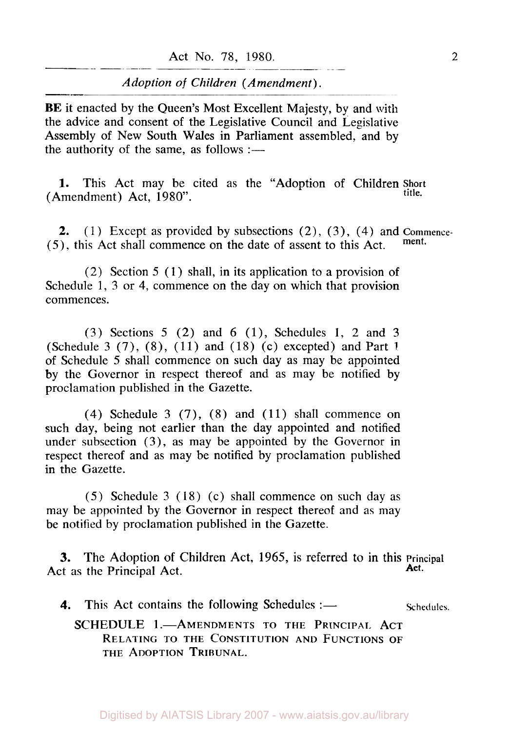**BE** it enacted by the Queen's Most Excellent Majesty, by and with the advice and consent of the Legislative Council and Legislative Assembly of New South Wales in Parliament assembled, and by the authority of the same, as follows  $:=$ 

**1.** This Act may be cited as the "Adoption of Children **Short** (Amendment) Act, 1980". **title.** 

**2.** (1) Except as provided by subsections (2) , *(3),* (4) and **Commence-**  *(5),* this Act shall commence on the date of assent to this Act. **ment\*** 

(2) Section *5* (1) shall, in its application to a provision of Schedule 1, 3 or **4,** commence on the day on which that provision commences.

(3) Sections *5* (2) and 6 (l), Schedules I, 2 and 3 (Schedule 3 (7), (S), (11) and (18) (c) excepted) and Part **<sup>1</sup>** of Schedule *5* shall commence on such day as may be appointed by the Governor in respect thereof and as may be notified by proclamation published in the Gazette.

**(4)** Schedule 3 (7), **(8)** and ( 11) shall commence on such day, being not earlier than the day appointed and notified under subsection (3), as may be appointed by the Governor in respect thereof and as may be notified by proclamation published in the Gazette.

*(5)* Schedule 3 (18) (c) shall commence on such day as may be appointed by the Governor in respect thereof and as may be notified by proclamation published in the Gazette.

**3.** The Adoption of Children Act, 1965, is referred to in this principal act, as the **Principal** Act. Act as the Principal Act.

**4.** This Act contains the following Schedules :— Schedules.

#### **SCHEDULE 1.-AMENDMENTS TO THE PRINCIPAL ACT** RELATING TO THE CONSTITUTION AND FUNCTIONS **OF**  THE ADOPTION TRIBUNAL.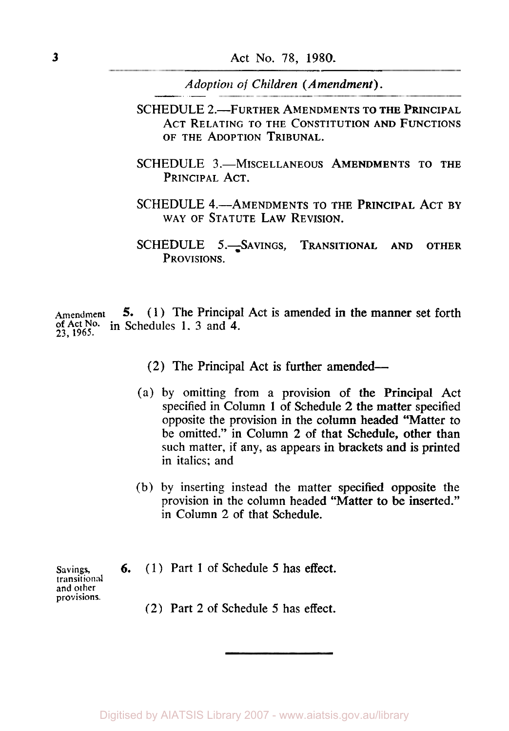- SCHEDULE 2.<sup>-</sup>FURTHER AMENDMENTS TO THE PRINCIPAL ACT RELATING TO THE CONSTITUTION AND FUNCTIONS OF THE ADOPTION TRIBUNAL.
- SCHEDULE 3.-MISCELLANEOUS AMENDMENTS TO THE PRINCIPAL ACT.
- SCHEDULE 4.—AMENDMENTS TO THE PRINCIPAL ACT BY WAY OF STATUTE LAW REVISION.
- SCHEDULE 5. SAVINGS, TRANSITIONAL AND OTHER PROVISIONS.

Amendment **of Ac No.** in Schedules 1, 3 and **4.**  *5.* (1) The Principal Act is amended **in** the manner set forth **23, 1965.** 

(2) The Principal Act is further amended-

- (a) by omitting from a provision of the Principal Act specified in Column **1** of Schedule 2 the matter specified opposite the provision in the column headed "Matter to be omitted." in Column 2 of that Schedule, other than such matter, if any, as appears in brackets and is printed in italics; and
- (b) by inserting instead the matter specified opposite the provision in the column headed "Matter to be inserted." in Column 2 of that Schedule.
- **Savings, transitional and other provisions.**
- 6. (1) Part 1 of Schedule 5 has effect.
	- (2) Part 2 of Schedule 5 has effect.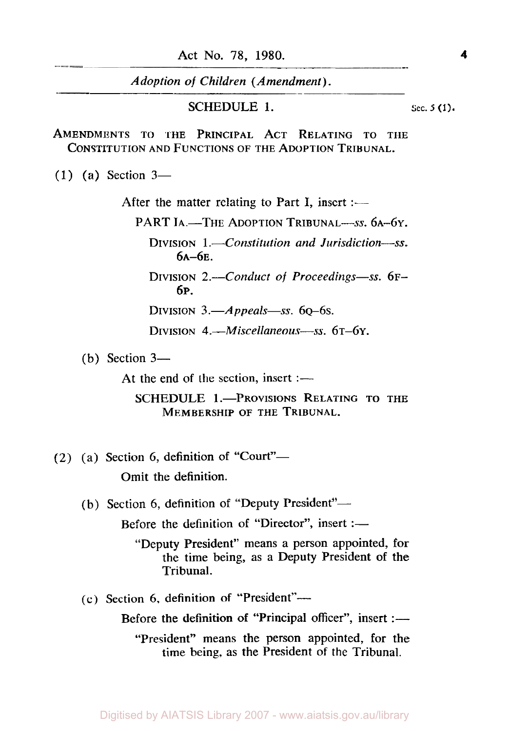Act No. 78, 1980. **4** 

*Adoption of Children (Amendment).* 

#### **SCHEDULE 1.** Sec. 5 (1).

AMENDMENTS TO THE PRINCIPAL ACT RELATING TO THE CONSTITUTION AND FUNCTIONS OF THE ADOPTION TRIBUNAL.

(1) (a) Section **3-** 

After the matter relating to Part I, insert :-

PART IA.-THE ADOPTION TRIBUNAL-SS. 6A-6Y.

DIVISION 1.<sup>-</sup>Constitution and Jurisdiction-ss.  $6A-6E$ .

DIVISION 2.—Conduct of *Proceedings*—ss. 6F-6P.

DIVISION 3.—*Appeals*—ss. 60–6s.

DIVISION *4.-Miscellaneous--ss.* 6T-6Y.

(b) Section **3-** 

At the end of the section, insert  $:$   $-$ 

SCHEDULE 1.-PROVISIONS RELATING TO THE MEMBERSHIP OF THE TRIBUNAL.

- $(2)$  (a) Section 6, definition of "Court"-Omit the definition.
	- (b) Section 6, definition of "Deputy President"-Before the definition of "Director", insert :—
		- "Deputy President" means a person appointed, for the time being, as a Deputy President of the Tribunal.
	- (c) Section 6, definition of "President"-

Before the definition of "Principal officer", insert :—

"President" means the person appointed, for the time being, as the President of the Tribunal.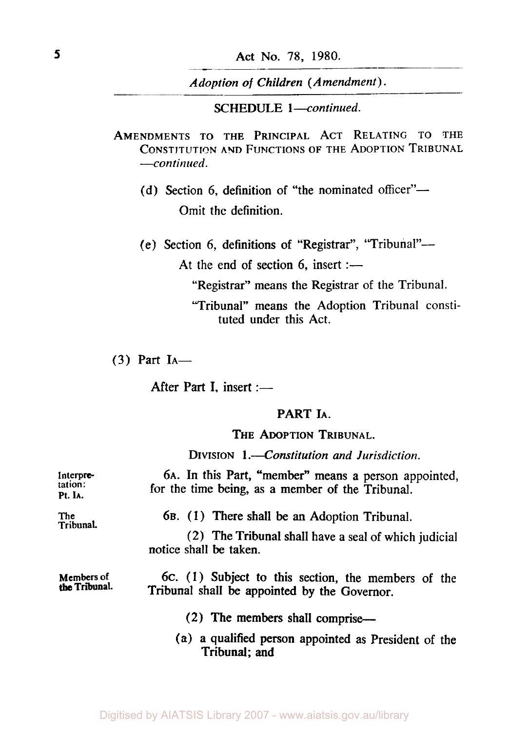**SCHEDULE** 1-continued.

AMENDMENTS TO THE PRINCIPAL ACT RELATING TO THE **CONSTITUTlON** AND FUNCTIONS OF THE ADOPTION TRIBUNAL *--continued.* 

(d) Section 6, definition of "the nominated officer"-Omit the definition.

(e) Section 6, definitions of "Registrar", "Tribunal"-

At the end of section 6, insert :-

"Registrar" means the Registrar of the Tribunal.

"Tribunal" means the Adoption Tribunal constituted under this Act.

 $(3)$  Part I<sub>A</sub>-

After Part I, insert :-

### PART h.

THE ADOPTION TRIBUNAL.

DIVISION 1.-Constitution and Jurisdiction.

| Interpre-<br>tation:<br>Pt. IA.    | 6A. In this Part, "member" means a person appointed,<br>for the time being, as a member of the Tribunal. |
|------------------------------------|----------------------------------------------------------------------------------------------------------|
| <b>The</b><br>Tribunal.            | 6B. (1) There shall be an Adoption Tribunal.                                                             |
|                                    | (2) The Tribunal shall have a seal of which judicial<br>notice shall be taken.                           |
| <b>Members</b> of<br>the Tribunal. | 6c. (1) Subject to this section, the members of the<br>Tribunal shall be appointed by the Governor.      |
|                                    | (2) The members shall comprise—                                                                          |
|                                    | (a) a qualified person appointed as President of the<br>Tribunal; and                                    |

Digitised by AIATSIS Library 2007 - www.aiatsis.gov.au/library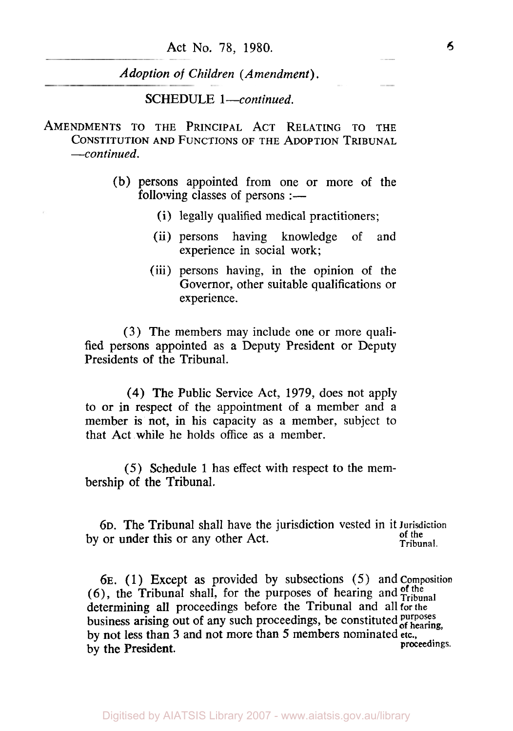Act No. **78,** 1980. *6* 

*Adoption* of *Children (Amendment).* 

**SCHEDULE** 1 *-continued.* 

AMENDMENTS TO **THE** PRINCIPAL ACT RELATING **TO** THE CONSTITUTION AND FUNCTIONS **OF** THE ADOPTION TRIBUNAL *--continued.* 

- (b) persons appointed from one or more of the following classes of persons :-
	- (i) legally qualified medical practitioners;
	- (ii) persons having knowledge of and experience in social work;
	- (iii) persons having, in the opinion of the Governor, other suitable qualifications or experience.

**(3)** The members may include one or more qualified persons appointed as a Deputy President or Deputy Presidents of the Tribunal.

**(4)** The Public Service Act, 1979, does not apply to or in respect of the appointment of a member and **a**  member is not, in his capacity as a member, subject to that Act while he holds office as a member.

(5) Schedule 1 has effect with respect to the membership of the Tribunal.

6D. The Tribunal shall have the jurisdiction vested in it **Jurisdiction of** the by or under this or any other Act.

**6E.** (1) Except as provided by subsections *(5)* and composition (6), the Tribunal shall, for the purposes of hearing and  $\frac{f_{\text{off}}}{f_{\text{ribunal}}}$ determining all proceedings before the Tribunal and all for the business arising out of any such proceedings, be constituted *purposes* of *hearing*, by not less than **3** and not more than 5 members nominated **etc.,**  by the President.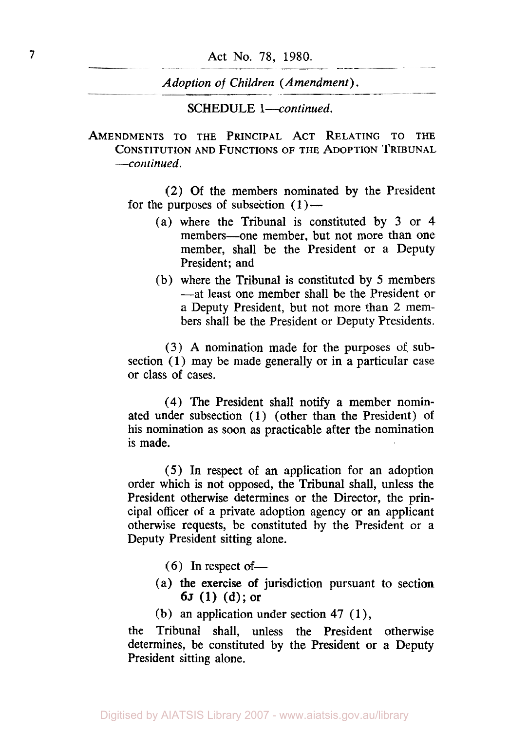SCHEDULE *l-continued.* 

AMENDMENTS **TO** THE PRINCIPAL ACT RELATING **TO** THE CONSTITUTION AND FUNCTIONS **OF** THE ADOPTION TRIBUNAL *--continued.* 

> **(2)** Of the members nominated by the President for the purposes of subsection  $(1)$ —

- (a) where the Tribunal is constituted by 3 or **4**  members-one member, but not more than one member, shall be the President or a Deputy President; and
- (b) where the Tribunal is constituted by 5 members -at least one member shall be the President or a Deputy President, but not more than 2 members shall be the President or Deputy Presidents.

(3) **A** nomination made for the purposes of. subsection *(1)* may be made generally or in a particular case or class of cases.

**(4)** The President shall notify a member nominated under subsection (1) (other than the President) of his nomination as soon as practicable after the nomination is made.

*(5)* In respect of an application for an adoption order which is not opposed, the Tribunal shall, unless the President otherwise determines or the Director, the principal officer of a private adoption agency or an applicant otherwise requests, be constituted by the President or a Deputy President sitting alone.

- $(6)$  In respect of —
- $6J (1) (d)$ ; or (a) the exercise of jurisdiction pursuant to section
- (b) an application under section **47** ( *1* ) ,

the Tribunal shall, unless the President otherwise determines, be constituted by the President or a Deputy President sitting alone.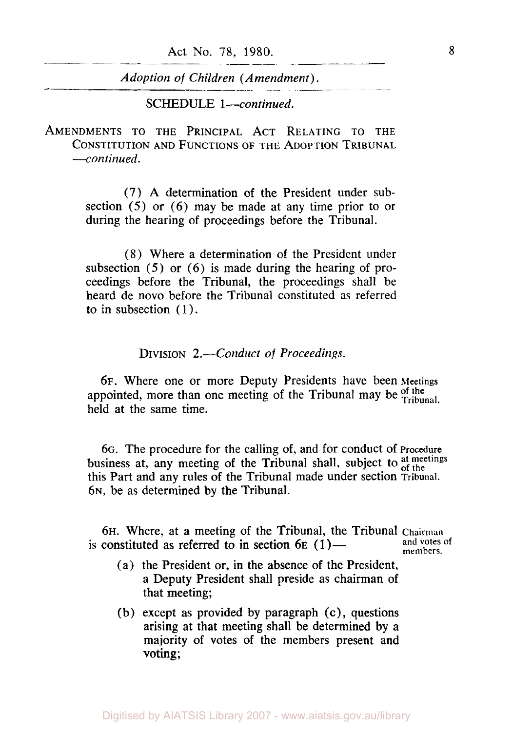**SCHEDULE** *1-continued.* 

**AMENDMENTS TO THE PRINCIPAL ACT RELATING TO THE CONSTITUTION AND FUNCTIONS OF THE ADOPTION TRIBUNAL**  *--continued.* 

> (7) **A** determination of the President under subsection (5) or **(6)** may be made at any time prior to or during the hearing of proceedings before the Tribunal.

> **(8)** Where a determination of the President under subsection (5) or **(6)** is made during the hearing of proceedings before the Tribunal, the proceedings shall be heard de novo before the Tribunal constituted as referred to in subsection  $(1)$ .

> > **DIVISION** *2.-Conduct* of *Proceedings.*

**6F.** Where one or more Deputy Presidents have been **Meetings**  appointed, more than one meeting of the Tribunal may be of the held at the same time.

**6G.** The procedure for the calling of, and for conduct of **Procedure**  business at, any meeting of the Tribunal shall, subject to at meetings this Part and any rules of the Tribunal made under section **Tribunal. 6N,** be as determined by the Tribunal.

**6H.** Where, at a meeting of the Tribunal, the Tribunal Chairman and **votes of members.**  is constituted as referred to in section  $6E(1)$ —

- (a) the President or, in the absence of the President, a Deputy President shall preside as chairman of that meeting;
- (b) except as provided by paragraph **(c),** questions arising at that meeting shall be determined by a majority of votes of the members present and voting;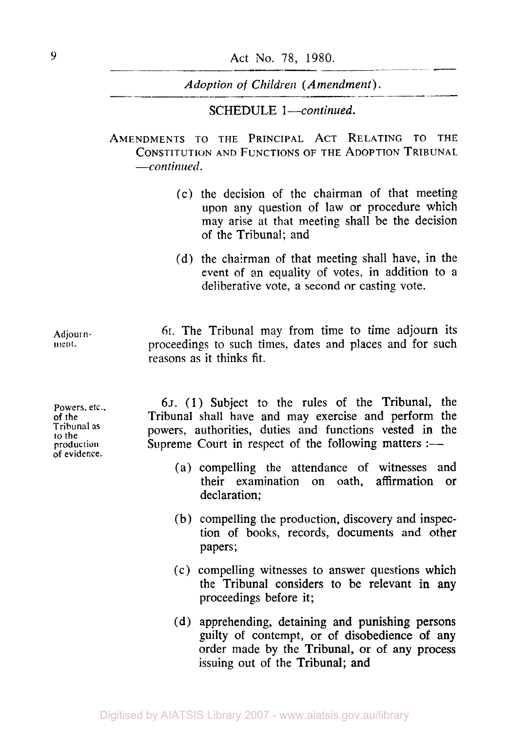SCHEDULE 1-continued.

**AMENDMENTS TO THE PRINCIPAL ACT RELATING** TO **THE CONSTITUTION AND FUNCTIONS** OF **THE ADOPTION TRIBUNAL**  *--continued.* 

- (c) the decision of the chairman of that meeting upon any question of law or procedure which may arise at that meeting shall be the decision of the Tribunal; and
- (d) the chairman of that meeting shall have, in the event of an equality of votes, in addition to a deliberative vote, a second or casting vote.

**Adjournment.** 

**Powers, etc.. of the**  Tribunal **as to the production of evidence.** 

**6I.** The Tribunal may from time to time adjourn its proceedings to such times, dates and places and for such reasons as it thinks fit.

*6J.* (1) Subject to the rules of the Tribunal, the Tribunal shall have and may exercise and perform the powers, authorities, duties and functions vested in the Supreme Court in respect of the following matters :-

- (a) compelling the attendance of witnesses and their examination on oath, affirmation or declaration;
- (b) compelling the production, discovery and inspection of books, records, documents and other papers;
- (c) compelling witnesses to answer questions which the Tribunal considers to be relevant in any proceedings before it;
- (d) apprehending, detaining and punishing persons guilty of contempt, or of disobedience of any order made by the Tribunal, or of any process issuing out of the Tribunal; and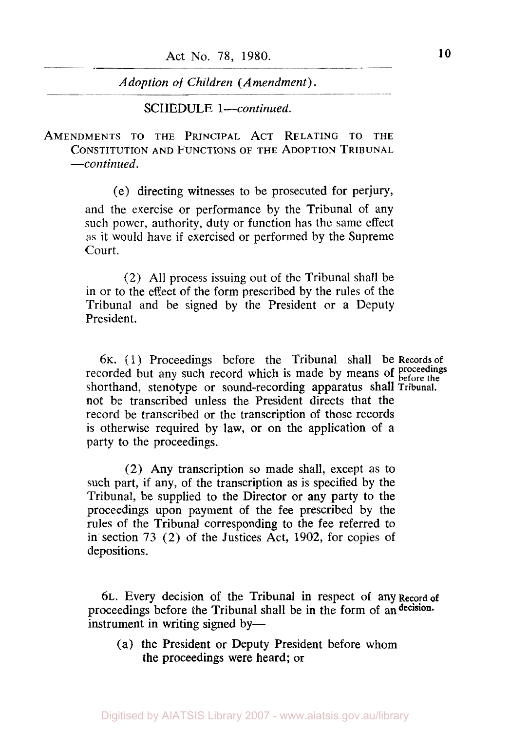SCHEDULE *1-continued.* 

AMENDMENTS TO THE PRINCIPAL ACT RELATING TO THE CONSTITUTION AD FUNCTIONS **OF** THE ADOPTION TRIBUNAL *-continued.* 

> (e) directing witnesses to be prosecuted for perjury, and the exercise or performance by the Tribunal of any such power, authority, duty or function has the same effect as it would have if exercised or performed by the Supreme Court.

> (2) All process issuing out of the Tribunal shall be in or to the effect of the form prescribed by the rules of the Tribunal and be signed by the President or a Deputy President.

6~. ( 1) Proceedings before the Tribunal shall be Records **of**  recorded but any such record which is made by means of proceedings before the shorthand, stenotype or sound-recording apparatus shall **Tribunal.**  not be transcribed unless the President directs that the record be transcribed or the transcription of those records is otherwise required by law, or on the application of a party to the proceedings.

(2) Any transcription so made shall, except as to such part, if any, of the transcription as is specified by the Tribunal, be supplied to the Director or any party to the proceedings upon payment of the fee prescribed by the rules of the Tribunal corresponding to the fee referred to in section 73 (2) of the Justices Act, 1902, for copies of depositions.

6L. Every decision of the Tribunal in respect of any Record of proceedings before the Tribunal shall be in the form of an decision. instrument in writing signed by-

(a) the President or Deputy President before whom the proceedings were heard; or